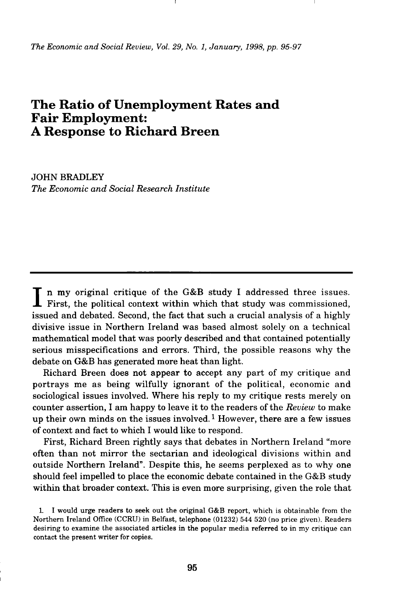*The Economic and Social Review, Vol. 29, No. 1, January, 1998, pp. 95-97* 

## **The Ratio of Unemployment Rates and Fair Employment: A Response to Richard Breen**

**JOHN BRADLEY** *The Economic and Social Research Institute* 

In my original critique of the G&B study I addressed three issues.<br>First, the political context within which that study was commissioned, First, the political context within which that study was commissioned, issued and debated. Second, the fact that such a crucial analysis of a highly divisive issue in Northern Ireland was based almost solely on a technical mathematical model that was poorly described and that contained potentially serious misspecifications and errors. Third, the possible reasons why the debate on G&B has generated more heat than light.

Richard Breen does not appear to accept any part of my critique and portrays me as being wilfully ignorant of the political, economic and sociological issues involved. Where his reply to my critique rests merely on counter assertion, I am happy to leave it to the readers of the *Review* to make up their own minds on the issues involved.<sup>1</sup> However, there are a few issues of context and fact to which I would like to respond.

First, Richard Breen rightly says that debates in Northern Ireland "more" often than not mirror the sectarian and ideological divisions within and outside Northern Ireland". Despite this, he seems perplexed as to why one should feel impelled to place the economic debate contained in the G&B study within that broader context. This is even more surprising, given the role that

**<sup>1</sup> I would urge readers to seek out the original G& B report, which is obtainable from the Northern Ireland Office (CCRU ) in Belfast, telephone (01232) 544 520 (no price given). Readers desiring to examine the associated articles in the popular media referred to in my critique can contact the present writer for copies.**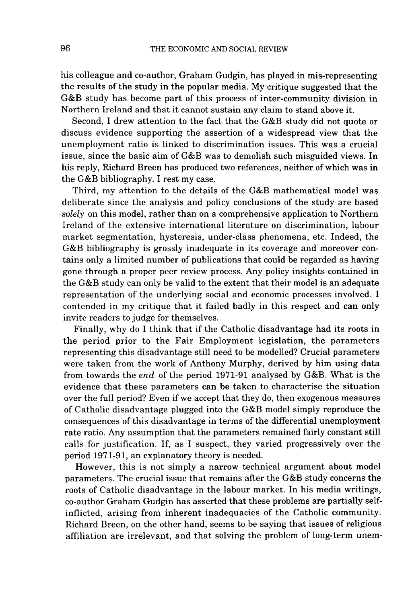his colleague and co-author, Graham Gudgin, has played in mis-representing the results of the study in the popular media. My critique suggested that the G&B study has become part of this process of inter-community division in Northern Ireland and that it cannot sustain any claim to stand above it.

Second, I drew attention to the fact that the G&B study did not quote or discuss evidence supporting the assertion of a widespread view that the unemployment ratio is linked to discrimination issues. This was a crucial issue, since the basic aim of  $G&B$  was to demolish such misguided views. In his reply, Richard Breen has produced two references, neither of which was in the G&B bibliography. I rest my case.

Third, my attention to the details of the G&B mathematical model was deliberate since the analysis and policy conclusions of the study are based *solely* on this model, rather than on a comprehensive application to Northern Ireland of the extensive internationa l literature on discrimination, labour market segmentation, hysteresis, under-class phenomena, etc. Indeed, the G&B bibliography is grossly inadequate in its coverage and moreover contains only a limited number of publications that could be regarded as having gone through a proper peer review process. Any policy insights contained in the G&B study can only be valid to the extent that their model is an adequate representation of the underlying social and economic processes involved. I contended in my critique that it failed badly in this respect and can only invite readers to judge for themselves.

Finally, why do I think that if the Catholic disadvantage had its roots in the period prior to the Fair Employment legislation, the parameters representing this disadvantage still need to be modelled? Crucial parameters were taken from the work of Anthony Murphy, derived by him using data from towards the *end* of the period 1971-91 analysed by G&B. What is the evidence that these parameters can be taken to characterise the situation over the full period? Even if we accept that they do, then exogenous measures of Catholic disadvantage plugged into the G&B model simply reproduce the consequences of this disadvantage in terms of the differential unemployment rate ratio. Any assumption that the parameters remained fairly constant still calls for justification. If, as I suspect, they varied progressively over the period 1971-91, an explanatory theory is needed.

However, this is not simply a narrow technical argument about model parameters. The crucial issue that remains after the G&B study concerns the roots of Catholic disadvantage in the labour market. In his media writings, co-author Graham Gudgin has asserted that these problems are partially selfinflicted, arising from inherent inadequacies of the Catholic community. Richard Breen, on the other hand, seems to be saying that issues of religious affiliation are irrelevant, and that solving the problem of long-term unem